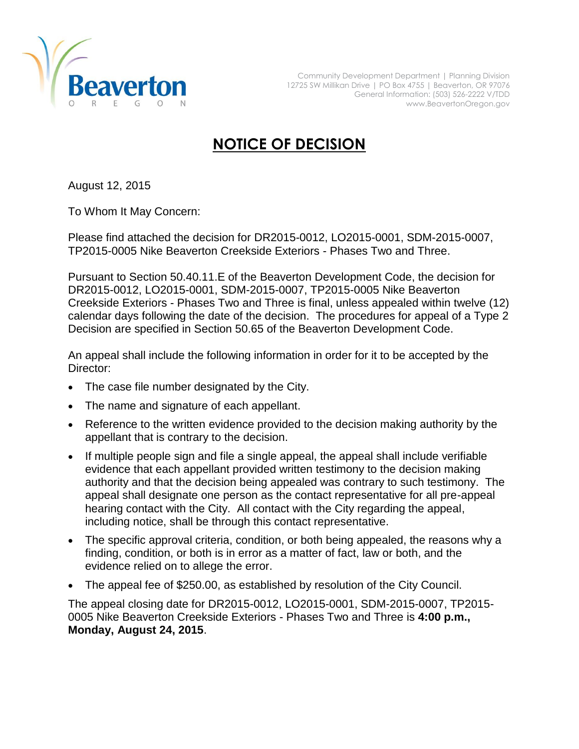

## **NOTICE OF DECISION**

August 12, 2015

To Whom It May Concern:

Please find attached the decision for DR2015-0012, LO2015-0001, SDM-2015-0007, TP2015-0005 Nike Beaverton Creekside Exteriors - Phases Two and Three.

Pursuant to Section 50.40.11.E of the Beaverton Development Code, the decision for DR2015-0012, LO2015-0001, SDM-2015-0007, TP2015-0005 Nike Beaverton Creekside Exteriors - Phases Two and Three is final, unless appealed within twelve (12) calendar days following the date of the decision. The procedures for appeal of a Type 2 Decision are specified in Section 50.65 of the Beaverton Development Code.

An appeal shall include the following information in order for it to be accepted by the Director:

- The case file number designated by the City.
- The name and signature of each appellant.
- Reference to the written evidence provided to the decision making authority by the appellant that is contrary to the decision.
- If multiple people sign and file a single appeal, the appeal shall include verifiable evidence that each appellant provided written testimony to the decision making authority and that the decision being appealed was contrary to such testimony. The appeal shall designate one person as the contact representative for all pre-appeal hearing contact with the City. All contact with the City regarding the appeal, including notice, shall be through this contact representative.
- The specific approval criteria, condition, or both being appealed, the reasons why a finding, condition, or both is in error as a matter of fact, law or both, and the evidence relied on to allege the error.
- The appeal fee of \$250.00, as established by resolution of the City Council.

The appeal closing date for DR2015-0012, LO2015-0001, SDM-2015-0007, TP2015- 0005 Nike Beaverton Creekside Exteriors - Phases Two and Three is **4:00 p.m., Monday, August 24, 2015**.